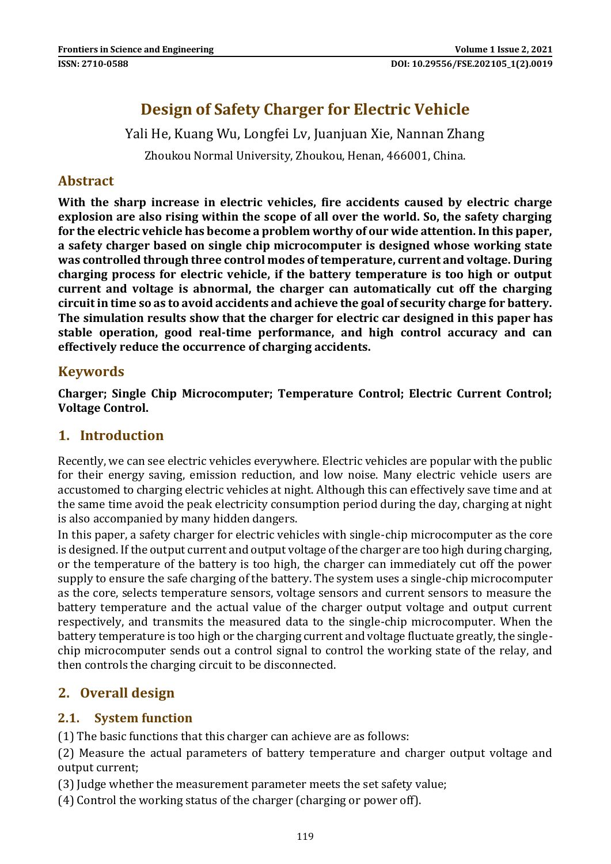# **Design of Safety Charger for Electric Vehicle**

Yali He, Kuang Wu, Longfei Lv, Juanjuan Xie, Nannan Zhang

Zhoukou Normal University, Zhoukou, Henan, 466001, China.

### **Abstract**

**With the sharp increase in electric vehicles, fire accidents caused by electric charge explosion are also rising within the scope of all over the world. So, the safety charging for the electric vehicle has become a problem worthy of our wide attention. In this paper, a safety charger based on single chip microcomputer is designed whose working state was controlled through three control modes of temperature, current and voltage. During charging process for electric vehicle, if the battery temperature is too high or output current and voltage is abnormal, the charger can automatically cut off the charging circuit in time so as to avoid accidents and achieve the goal of security charge for battery. The simulation results show that the charger for electric car designed in this paper has stable operation, good real-time performance, and high control accuracy and can effectively reduce the occurrence of charging accidents.**

### **Keywords**

**Charger; Single Chip Microcomputer; Temperature Control; Electric Current Control; Voltage Control.**

### **1. Introduction**

Recently, we can see electric vehicles everywhere. Electric vehicles are popular with the public for their energy saving, emission reduction, and low noise. Many electric vehicle users are accustomed to charging electric vehicles at night. Although this can effectively save time and at the same time avoid the peak electricity consumption period during the day, charging at night is also accompanied by many hidden dangers.

In this paper, a safety charger for electric vehicles with single-chip microcomputer as the core is designed. If the output current and output voltage of the charger are too high during charging, or the temperature of the battery is too high, the charger can immediately cut off the power supply to ensure the safe charging of the battery. The system uses a single-chip microcomputer as the core, selects temperature sensors, voltage sensors and current sensors to measure the battery temperature and the actual value of the charger output voltage and output current respectively, and transmits the measured data to the single-chip microcomputer. When the battery temperature is too high or the charging current and voltage fluctuate greatly, the singlechip microcomputer sends out a control signal to control the working state of the relay, and then controls the charging circuit to be disconnected.

## **2. Overall design**

### **2.1. System function**

(1) The basic functions that this charger can achieve are as follows:

(2) Measure the actual parameters of battery temperature and charger output voltage and output current;

(3) Judge whether the measurement parameter meets the set safety value;

(4) Control the working status of the charger (charging or power off).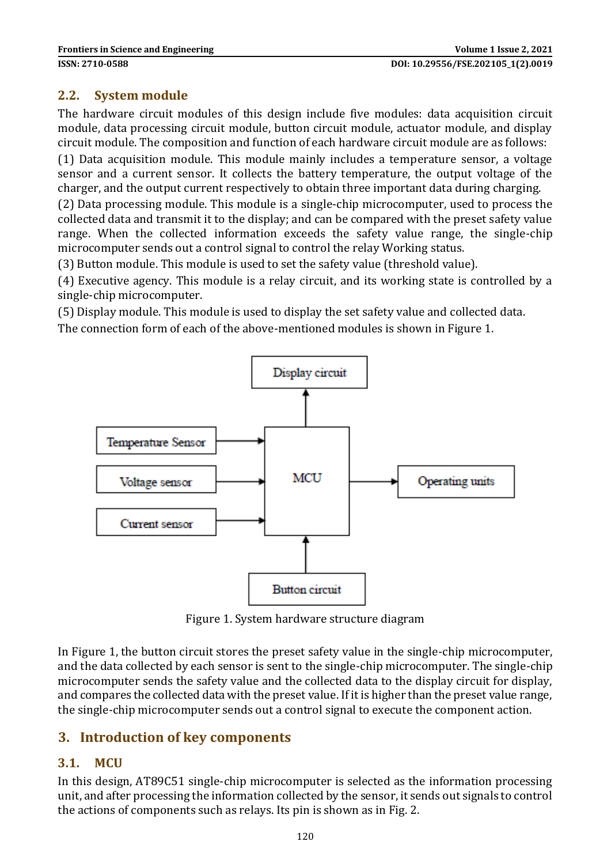#### **2.2. System module**

The hardware circuit modules of this design include five modules: data acquisition circuit module, data processing circuit module, button circuit module, actuator module, and display circuit module. The composition and function of each hardware circuit module are as follows:

(1) Data acquisition module. This module mainly includes a temperature sensor, a voltage sensor and a current sensor. It collects the battery temperature, the output voltage of the charger, and the output current respectively to obtain three important data during charging.

(2) Data processing module. This module is a single-chip microcomputer, used to process the collected data and transmit it to the display; and can be compared with the preset safety value range. When the collected information exceeds the safety value range, the single-chip microcomputer sends out a control signal to control the relay Working status.

(3) Button module. This module is used to set the safety value (threshold value).

(4) Executive agency. This module is a relay circuit, and its working state is controlled by a single-chip microcomputer.

(5) Display module. This module is used to display the set safety value and collected data.

The connection form of each of the above-mentioned modules is shown in Figure 1.



Figure 1. System hardware structure diagram

In Figure 1, the button circuit stores the preset safety value in the single-chip microcomputer, and the data collected by each sensor is sent to the single-chip microcomputer. The single-chip microcomputer sends the safety value and the collected data to the display circuit for display, and compares the collected data with the preset value. If it is higher than the preset value range, the single-chip microcomputer sends out a control signal to execute the component action.

### **3. Introduction of key components**

### **3.1. MCU**

In this design, AT89C51 single-chip microcomputer is selected as the information processing unit, and after processing the information collected by the sensor, it sends out signals to control the actions of components such as relays. Its pin is shown as in Fig. 2.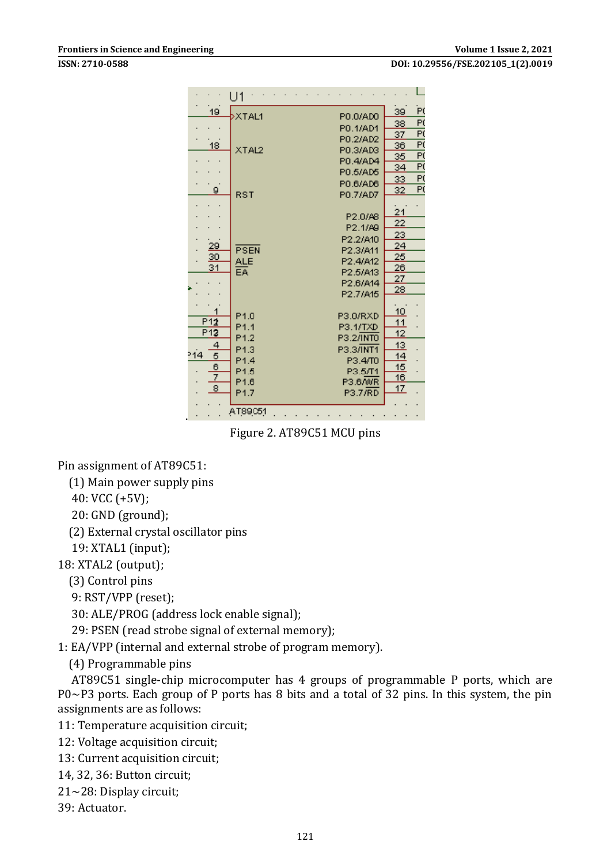**ISSN: 2710-0588 DOI: 10.29556/FSE.202105\_1(2).0019** 

|                                                        | U1                                                                                           |                                                                                                        |                                                                                           |                         |
|--------------------------------------------------------|----------------------------------------------------------------------------------------------|--------------------------------------------------------------------------------------------------------|-------------------------------------------------------------------------------------------|-------------------------|
| 19                                                     | <b>XTAL1</b>                                                                                 | P0.0/AD0                                                                                               | 39                                                                                        | Pί                      |
|                                                        |                                                                                              | PO.1/AD1                                                                                               | 38                                                                                        | P(                      |
|                                                        |                                                                                              | P0.2/AD2                                                                                               | 37                                                                                        | Ρť                      |
| 18                                                     | XTAL2                                                                                        | P0.3/AD3                                                                                               | 36                                                                                        | Fί                      |
|                                                        |                                                                                              | P0.4/AD4                                                                                               | 35                                                                                        | Ρť                      |
|                                                        |                                                                                              | P0.5/AD5                                                                                               | 34                                                                                        | ΡÇ                      |
|                                                        |                                                                                              | P0.6/AD6                                                                                               | 33                                                                                        | P)                      |
| g.                                                     | RST                                                                                          | P0.7/AD7                                                                                               | 32                                                                                        | $\overline{\mathsf{P}}$ |
| <u> 29</u><br><u>30</u><br>31<br>P12                   | PSEN<br>ALE<br>EA.<br>P <sub>1.0</sub>                                                       | P2.0/A8<br>P2.1/A9<br>P2.2/A10<br>P2.3/A11<br>P2.4/A12<br>P2.5/A13<br>P2.6/A14<br>P2.7/A15<br>P3.0/RXD | 21<br>$\overline{22}$<br>23<br>24<br>25<br>$\overline{26}$<br>27<br><u>28</u><br>10<br>11 |                         |
| P <sub>12</sub>                                        | P <sub>1.1</sub>                                                                             | P3.1/TXD                                                                                               | 12                                                                                        |                         |
| 4<br>214<br>5<br>6<br>$\overline{7}$<br>$\overline{8}$ | P <sub>1.2</sub><br>P <sub>1.3</sub><br>P <sub>1.4</sub><br>P1.5<br>P1.6<br>P <sub>1.7</sub> | P3.2/INTO<br>P3.3/INT1<br>P3.4/T0<br>P3.5/T1<br>P3.6/WR<br>P3.7/RD                                     | 13<br>14<br>15<br>16<br>17                                                                |                         |
| AT89051                                                |                                                                                              |                                                                                                        |                                                                                           |                         |

Figure 2. AT89C51 MCU pins

Pin assignment of AT89C51:

(1) Main power supply pins

40: VCC (+5V);

20: GND (ground);

(2) External crystal oscillator pins

19: XTAL1 (input);

18: XTAL2 (output);

(3) Control pins

9: RST/VPP (reset);

30: ALE/PROG (address lock enable signal);

29: PSEN (read strobe signal of external memory);

1: EA/VPP (internal and external strobe of program memory).

(4) Programmable pins

 AT89C51 single-chip microcomputer has 4 groups of programmable P ports, which are P0~P3 ports. Each group of P ports has 8 bits and a total of 32 pins. In this system, the pin assignments are as follows:

11: Temperature acquisition circuit;

- 12: Voltage acquisition circuit;
- 13: Current acquisition circuit;
- 14, 32, 36: Button circuit;
- 21~28: Display circuit;
- 39: Actuator.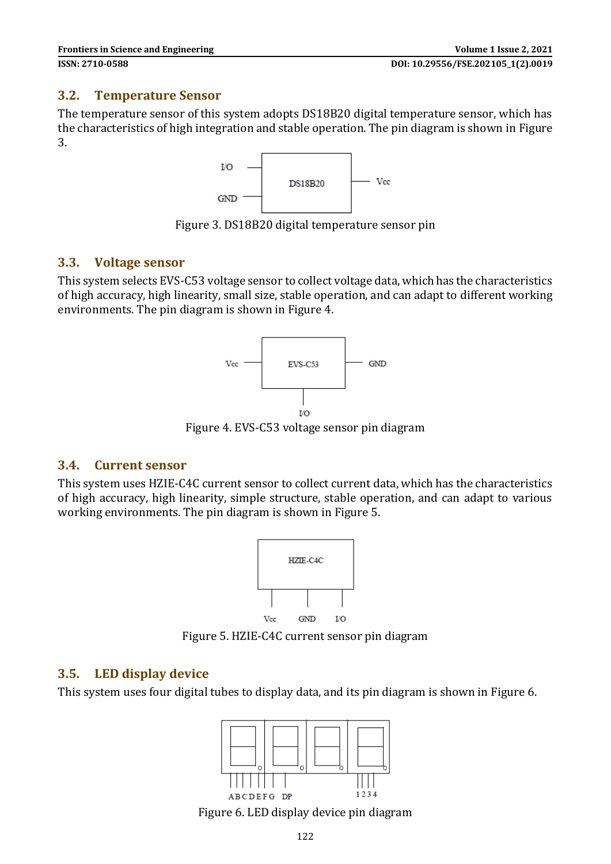#### **3.2. Temperature Sensor**

The temperature sensor of this system adopts DS18B20 digital temperature sensor, which has the characteristics of high integration and stable operation. The pin diagram is shown in Figure 3.



Figure 3. DS18B20 digital temperature sensor pin

#### **3.3. Voltage sensor**

This system selects EVS-C53 voltage sensor to collect voltage data, which has the characteristics of high accuracy, high linearity, small size, stable operation, and can adapt to different working environments. The pin diagram is shown in Figure 4.



Figure 4. EVS-C53 voltage sensor pin diagram

### **3.4. Current sensor**

This system uses HZIE-C4C current sensor to collect current data, which has the characteristics of high accuracy, high linearity, simple structure, stable operation, and can adapt to various working environments. The pin diagram is shown in Figure 5.



Figure 5. HZIE-C4C current sensor pin diagram

### **3.5. LED display device**

This system uses four digital tubes to display data, and its pin diagram is shown in Figure 6.



Figure 6. LED display device pin diagram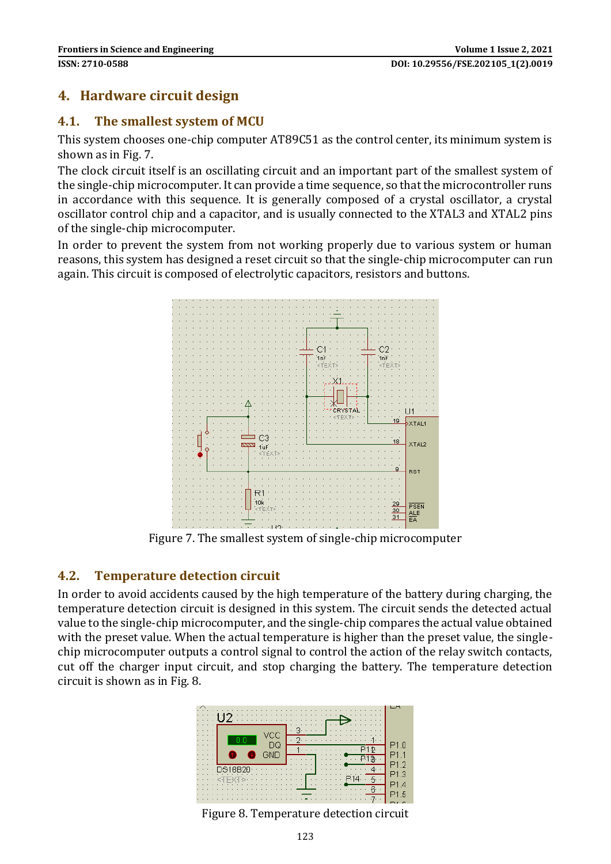## **4. Hardware circuit design**

#### **4.1. The smallest system of MCU**

This system chooses one-chip computer AT89C51 as the control center, its minimum system is shown as in Fig. 7.

The clock circuit itself is an oscillating circuit and an important part of the smallest system of the single-chip microcomputer. It can provide a time sequence, so that the microcontroller runs in accordance with this sequence. It is generally composed of a crystal oscillator, a crystal oscillator control chip and a capacitor, and is usually connected to the XTAL3 and XTAL2 pins of the single-chip microcomputer.

In order to prevent the system from not working properly due to various system or human reasons, this system has designed a reset circuit so that the single-chip microcomputer can run again. This circuit is composed of electrolytic capacitors, resistors and buttons.



Figure 7. The smallest system of single-chip microcomputer

### **4.2. Temperature detection circuit**

In order to avoid accidents caused by the high temperature of the battery during charging, the temperature detection circuit is designed in this system. The circuit sends the detected actual value to the single-chip microcomputer, and the single-chip compares the actual value obtained with the preset value. When the actual temperature is higher than the preset value, the singlechip microcomputer outputs a control signal to control the action of the relay switch contacts, cut off the charger input circuit, and stop charging the battery. The temperature detection circuit is shown as in Fig. 8.



Figure 8. Temperature detection circuit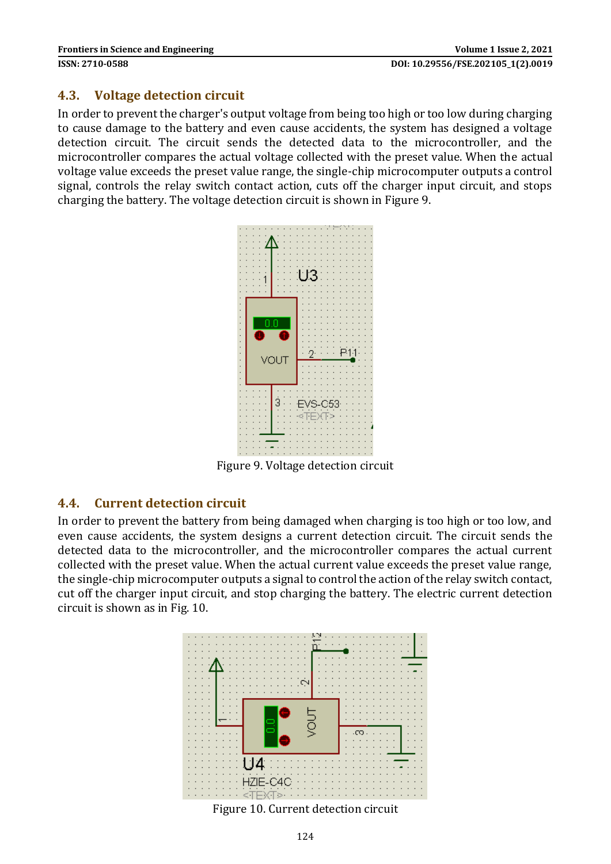#### **4.3. Voltage detection circuit**

In order to prevent the charger's output voltage from being too high or too low during charging to cause damage to the battery and even cause accidents, the system has designed a voltage detection circuit. The circuit sends the detected data to the microcontroller, and the microcontroller compares the actual voltage collected with the preset value. When the actual voltage value exceeds the preset value range, the single-chip microcomputer outputs a control signal, controls the relay switch contact action, cuts off the charger input circuit, and stops charging the battery. The voltage detection circuit is shown in Figure 9.



Figure 9. Voltage detection circuit

#### **4.4. Current detection circuit**

In order to prevent the battery from being damaged when charging is too high or too low, and even cause accidents, the system designs a current detection circuit. The circuit sends the detected data to the microcontroller, and the microcontroller compares the actual current collected with the preset value. When the actual current value exceeds the preset value range, the single-chip microcomputer outputs a signal to control the action of the relay switch contact, cut off the charger input circuit, and stop charging the battery. The electric current detection circuit is shown as in Fig. 10.



Figure 10. Current detection circuit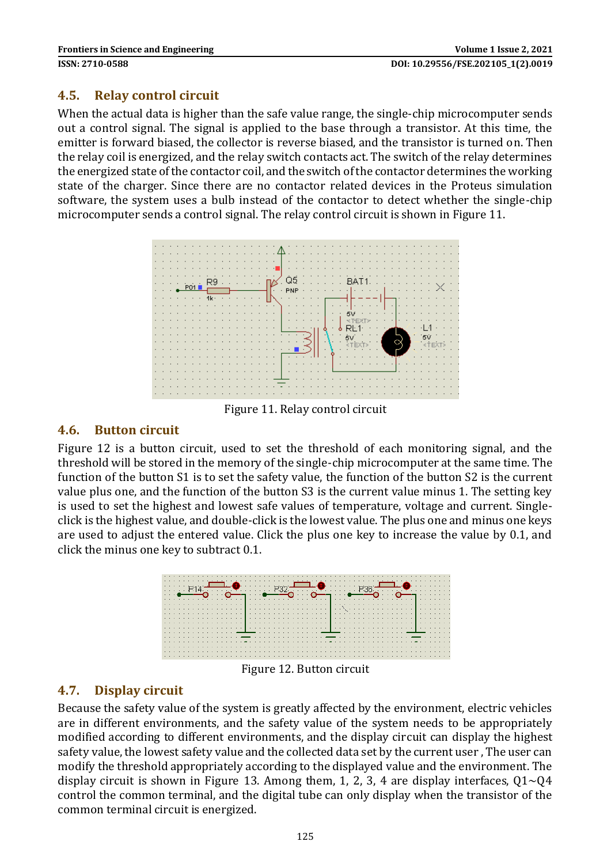#### **4.5. Relay control circuit**

When the actual data is higher than the safe value range, the single-chip microcomputer sends out a control signal. The signal is applied to the base through a transistor. At this time, the emitter is forward biased, the collector is reverse biased, and the transistor is turned on. Then the relay coil is energized, and the relay switch contacts act. The switch of the relay determines the energized state of the contactor coil, and the switch of the contactor determines the working state of the charger. Since there are no contactor related devices in the Proteus simulation software, the system uses a bulb instead of the contactor to detect whether the single-chip microcomputer sends a control signal. The relay control circuit is shown in Figure 11.



Figure 11. Relay control circuit

#### **4.6. Button circuit**

Figure 12 is a button circuit, used to set the threshold of each monitoring signal, and the threshold will be stored in the memory of the single-chip microcomputer at the same time. The function of the button S1 is to set the safety value, the function of the button S2 is the current value plus one, and the function of the button S3 is the current value minus 1. The setting key is used to set the highest and lowest safe values of temperature, voltage and current. Singleclick is the highest value, and double-click is the lowest value. The plus one and minus one keys are used to adjust the entered value. Click the plus one key to increase the value by 0.1, and click the minus one key to subtract 0.1.



Figure 12. Button circuit

### **4.7. Display circuit**

Because the safety value of the system is greatly affected by the environment, electric vehicles are in different environments, and the safety value of the system needs to be appropriately modified according to different environments, and the display circuit can display the highest safety value, the lowest safety value and the collected data set by the current user , The user can modify the threshold appropriately according to the displayed value and the environment. The display circuit is shown in Figure 13. Among them, 1, 2, 3, 4 are display interfaces,  $Q1 \sim Q4$ control the common terminal, and the digital tube can only display when the transistor of the common terminal circuit is energized.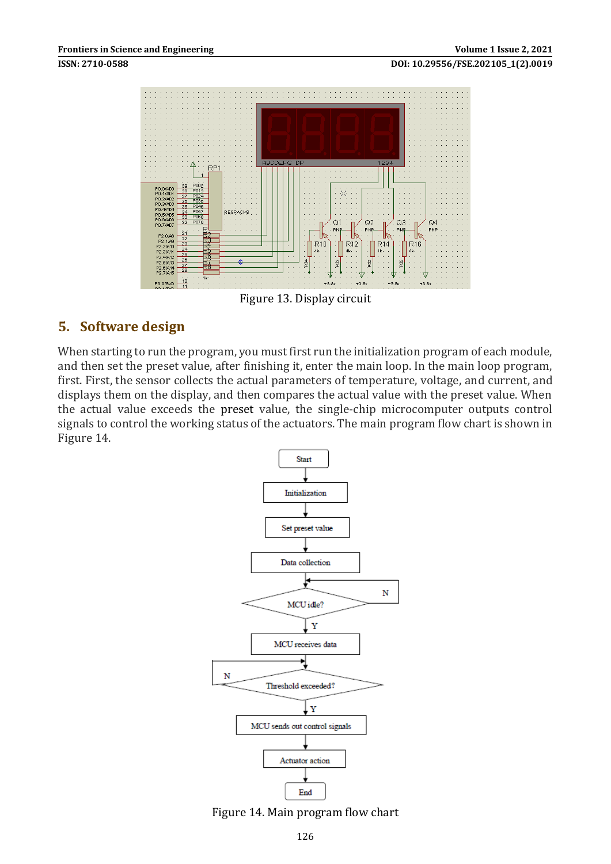



Figure 13. Display circuit

#### **5. Software design**

When starting to run the program, you must first run the initialization program of each module, and then set the preset value, after finishing it, enter the main loop. In the main loop program, first. First, the sensor collects the actual parameters of temperature, voltage, and current, and displays them on the display, and then compares the actual value with the preset value. When the actual value exceeds the preset value, the single-chip microcomputer outputs control signals to control the working status of the actuators. The main program flow chart is shown in Figure 14.



Figure 14. Main program flow chart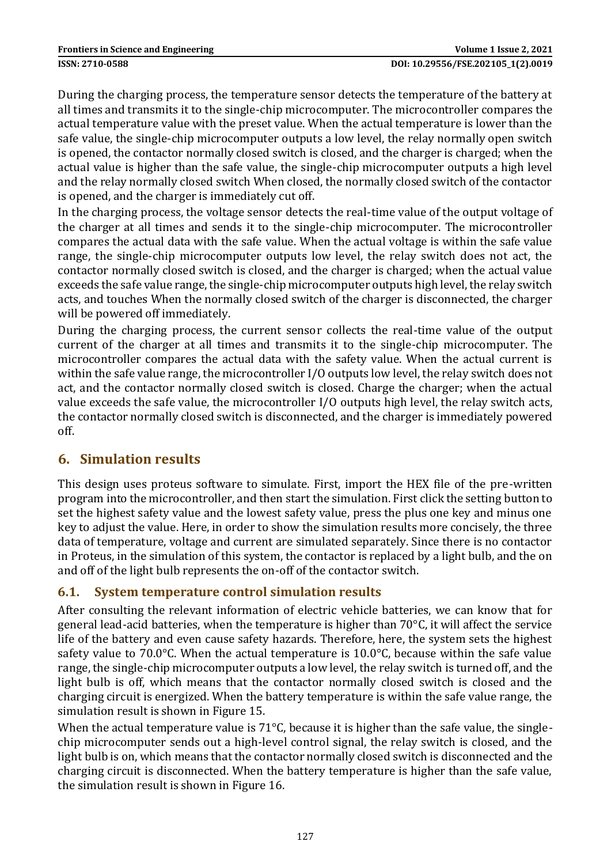During the charging process, the temperature sensor detects the temperature of the battery at all times and transmits it to the single-chip microcomputer. The microcontroller compares the actual temperature value with the preset value. When the actual temperature is lower than the safe value, the single-chip microcomputer outputs a low level, the relay normally open switch is opened, the contactor normally closed switch is closed, and the charger is charged; when the actual value is higher than the safe value, the single-chip microcomputer outputs a high level and the relay normally closed switch When closed, the normally closed switch of the contactor is opened, and the charger is immediately cut off.

In the charging process, the voltage sensor detects the real-time value of the output voltage of the charger at all times and sends it to the single-chip microcomputer. The microcontroller compares the actual data with the safe value. When the actual voltage is within the safe value range, the single-chip microcomputer outputs low level, the relay switch does not act, the contactor normally closed switch is closed, and the charger is charged; when the actual value exceeds the safe value range, the single-chip microcomputer outputs high level, the relay switch acts, and touches When the normally closed switch of the charger is disconnected, the charger will be powered off immediately.

During the charging process, the current sensor collects the real-time value of the output current of the charger at all times and transmits it to the single-chip microcomputer. The microcontroller compares the actual data with the safety value. When the actual current is within the safe value range, the microcontroller I/O outputs low level, the relay switch does not act, and the contactor normally closed switch is closed. Charge the charger; when the actual value exceeds the safe value, the microcontroller I/O outputs high level, the relay switch acts, the contactor normally closed switch is disconnected, and the charger is immediately powered off.

## **6. Simulation results**

This design uses proteus software to simulate. First, import the HEX file of the pre-written program into the microcontroller, and then start the simulation. First click the setting button to set the highest safety value and the lowest safety value, press the plus one key and minus one key to adjust the value. Here, in order to show the simulation results more concisely, the three data of temperature, voltage and current are simulated separately. Since there is no contactor in Proteus, in the simulation of this system, the contactor is replaced by a light bulb, and the on and off of the light bulb represents the on-off of the contactor switch.

### **6.1. System temperature control simulation results**

After consulting the relevant information of electric vehicle batteries, we can know that for general lead-acid batteries, when the temperature is higher than  $70^{\circ}$ C, it will affect the service life of the battery and even cause safety hazards. Therefore, here, the system sets the highest safety value to 70.0 $\degree$ C. When the actual temperature is 10.0 $\degree$ C, because within the safe value range, the single-chip microcomputer outputs a low level, the relay switch is turned off, and the light bulb is off, which means that the contactor normally closed switch is closed and the charging circuit is energized. When the battery temperature is within the safe value range, the simulation result is shown in Figure 15.

When the actual temperature value is  $71^{\circ}$ C, because it is higher than the safe value, the singlechip microcomputer sends out a high-level control signal, the relay switch is closed, and the light bulb is on, which means that the contactor normally closed switch is disconnected and the charging circuit is disconnected. When the battery temperature is higher than the safe value, the simulation result is shown in Figure 16.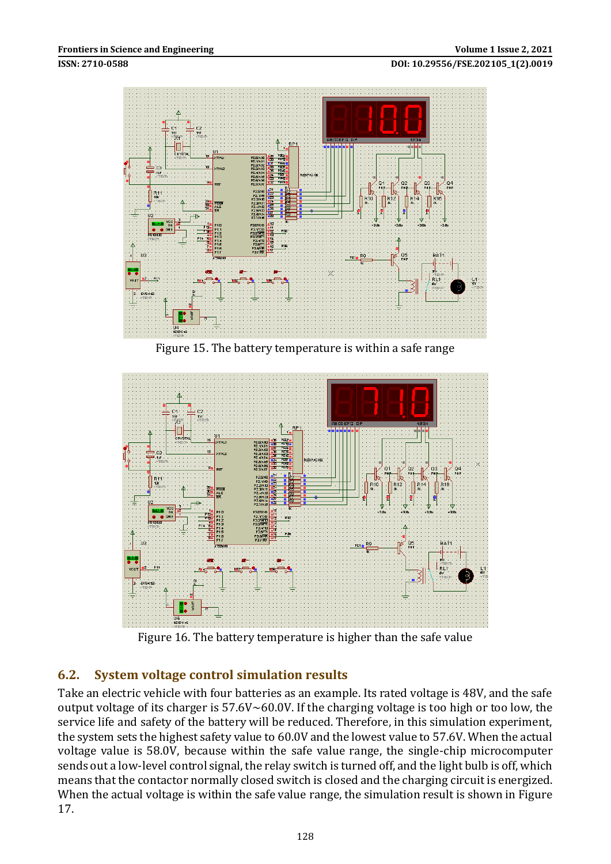

Figure 15. The battery temperature is within a safe range



Figure 16. The battery temperature is higher than the safe value

### **6.2. System voltage control simulation results**

Take an electric vehicle with four batteries as an example. Its rated voltage is 48V, and the safe output voltage of its charger is 57.6V~60.0V. If the charging voltage is too high or too low, the service life and safety of the battery will be reduced. Therefore, in this simulation experiment, the system sets the highest safety value to 60.0V and the lowest value to 57.6V. When the actual voltage value is 58.0V, because within the safe value range, the single-chip microcomputer sends out a low-level control signal, the relay switch is turned off, and the light bulb is off, which means that the contactor normally closed switch is closed and the charging circuit is energized. When the actual voltage is within the safe value range, the simulation result is shown in Figure 17.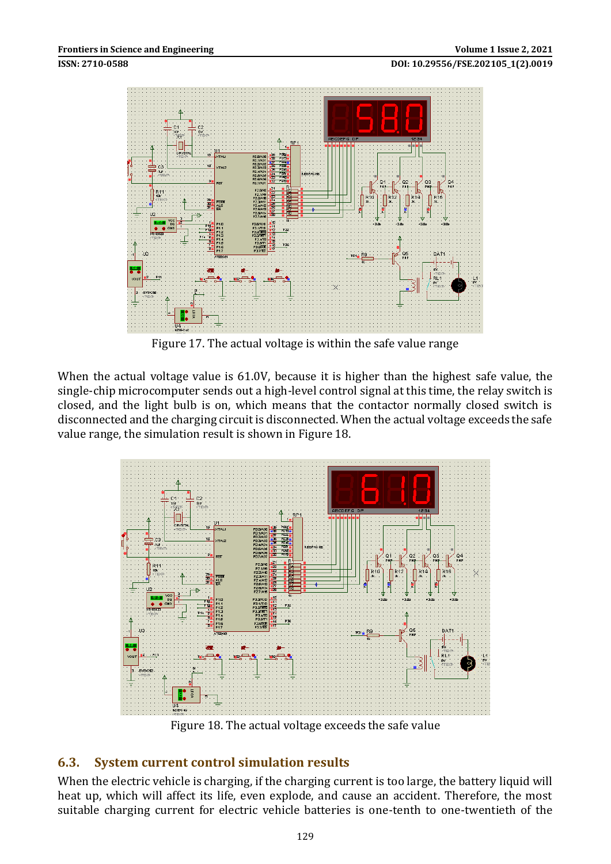#### **ISSN: 2710-0588 DOI: 10.29556/FSE.202105\_1(2).0019**



Figure 17. The actual voltage is within the safe value range

When the actual voltage value is 61.0V, because it is higher than the highest safe value, the single-chip microcomputer sends out a high-level control signal at this time, the relay switch is closed, and the light bulb is on, which means that the contactor normally closed switch is disconnected and the charging circuit is disconnected. When the actual voltage exceeds the safe value range, the simulation result is shown in Figure 18.



Figure 18. The actual voltage exceeds the safe value

### **6.3. System current control simulation results**

When the electric vehicle is charging, if the charging current is too large, the battery liquid will heat up, which will affect its life, even explode, and cause an accident. Therefore, the most suitable charging current for electric vehicle batteries is one-tenth to one-twentieth of the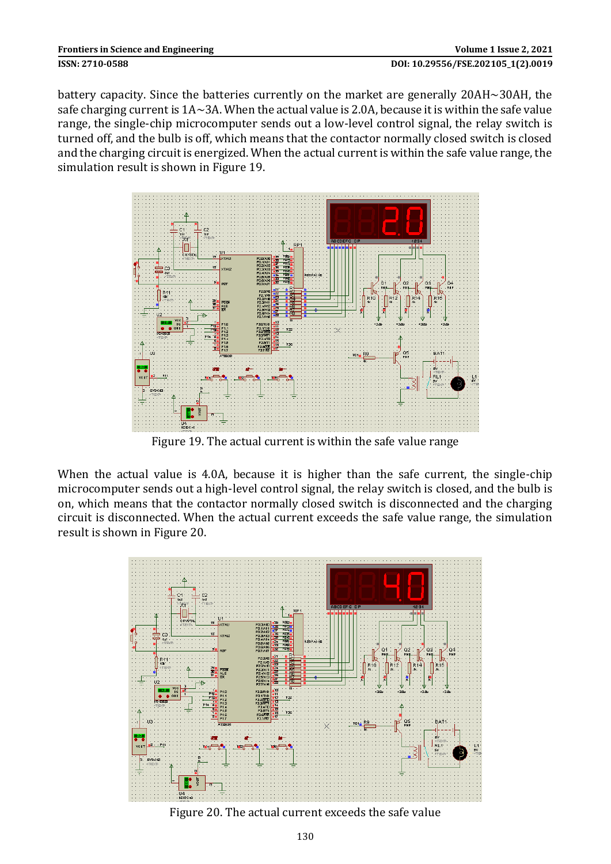battery capacity. Since the batteries currently on the market are generally 20AH~30AH, the safe charging current is 1A~3A. When the actual value is 2.0A, because it is within the safe value range, the single-chip microcomputer sends out a low-level control signal, the relay switch is turned off, and the bulb is off, which means that the contactor normally closed switch is closed and the charging circuit is energized. When the actual current is within the safe value range, the simulation result is shown in Figure 19.



Figure 19. The actual current is within the safe value range

When the actual value is 4.0A, because it is higher than the safe current, the single-chip microcomputer sends out a high-level control signal, the relay switch is closed, and the bulb is on, which means that the contactor normally closed switch is disconnected and the charging circuit is disconnected. When the actual current exceeds the safe value range, the simulation result is shown in Figure 20.



Figure 20. The actual current exceeds the safe value